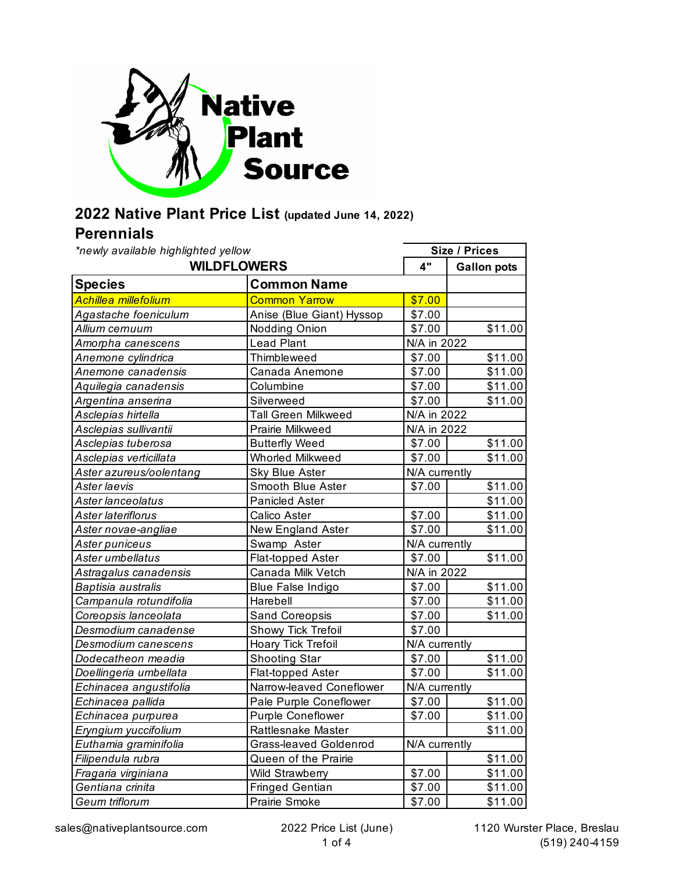

## **2022 Native Plant Price List (updated June 14, 2022)**

## **Perennials**

*\*newly available highlighted yellow*

| *newly available highlighted yellow |                               | <b>Size / Prices</b> |                     |  |
|-------------------------------------|-------------------------------|----------------------|---------------------|--|
|                                     | <b>WILDFLOWERS</b>            |                      | <b>Gallon pots</b>  |  |
| <b>Species</b>                      | <b>Common Name</b>            |                      |                     |  |
| Achillea millefolium                | <b>Common Yarrow</b>          | \$7.00               |                     |  |
| Agastache foeniculum                | Anise (Blue Giant) Hyssop     | \$7.00               |                     |  |
| Allium cernuum                      | Nodding Onion                 | \$7.00               | \$11.00             |  |
| Amorpha canescens                   | <b>Lead Plant</b>             | N/A in 2022          |                     |  |
| Anemone cylindrica                  | Thimbleweed                   | \$7.00               | \$11.00             |  |
| Anemone canadensis                  | Canada Anemone                | \$7.00               | \$11.00             |  |
| Aquilegia canadensis                | Columbine                     | \$7.00               | \$11.00             |  |
| Argentina anserina                  | Silverweed                    | \$7.00               | \$11.00             |  |
| Asclepias hirtella                  | Tall Green Milkweed           | N/A in 2022          |                     |  |
| Asclepias sullivantii               | Prairie Milkweed              | N/A in 2022          |                     |  |
| Asclepias tuberosa                  | <b>Butterfly Weed</b>         | \$7.00               | \$11.00             |  |
| Asclepias verticillata              | <b>Whorled Milkweed</b>       | \$7.00               | \$11.00             |  |
| Aster azureus/oolentang             | <b>Sky Blue Aster</b>         |                      | N/A currently       |  |
| Aster laevis                        | Smooth Blue Aster             | \$7.00               | \$11.00             |  |
| Aster lanceolatus                   | <b>Panicled Aster</b>         |                      | $\overline{$}11.00$ |  |
| Aster lateriflorus                  | Calico Aster                  | \$7.00               | \$11.00             |  |
| Aster novae-angliae                 | New England Aster             | \$7.00               | \$11.00             |  |
| Aster puniceus                      | Swamp Aster                   | N/A currently        |                     |  |
| Aster umbellatus                    | Flat-topped Aster             | \$7.00               | \$11.00             |  |
| Astragalus canadensis               | Canada Milk Vetch             | N/A in 2022          |                     |  |
| Baptisia australis                  | <b>Blue False Indigo</b>      | \$7.00               | \$11.00             |  |
| Campanula rotundifolia              | Harebell                      | \$7.00               | \$11.00             |  |
| Coreopsis lanceolata                | Sand Coreopsis                | \$7.00               | \$11.00             |  |
| Desmodium canadense                 | Showy Tick Trefoil            | \$7.00               |                     |  |
| Desmodium canescens                 | Hoary Tick Trefoil            | N/A currently        |                     |  |
| Dodecatheon meadia                  | <b>Shooting Star</b>          | \$7.00               | \$11.00             |  |
| Doellingeria umbellata              | Flat-topped Aster             | \$7.00               | \$11.00             |  |
| Echinacea angustifolia              | Narrow-leaved Coneflower      | N/A currently        |                     |  |
| Echinacea pallida                   | Pale Purple Coneflower        | \$7.00               | \$11.00             |  |
| Echinacea purpurea                  | Purple Coneflower             | \$7.00               | \$11.00             |  |
| Eryngium yuccifolium                | Rattlesnake Master            |                      | \$11.00             |  |
| Euthamia graminifolia               | <b>Grass-leaved Goldenrod</b> | N/A currently        |                     |  |
| Filipendula rubra                   | Queen of the Prairie          |                      | \$11.00             |  |
| Fragaria virginiana                 | <b>Wild Strawberry</b>        | \$7.00               | \$11.00             |  |
| Gentiana crinita                    | <b>Fringed Gentian</b>        | \$7.00               | \$11.00             |  |
| Geum triflorum                      | Prairie Smoke                 | \$7.00               | \$11.00             |  |

٦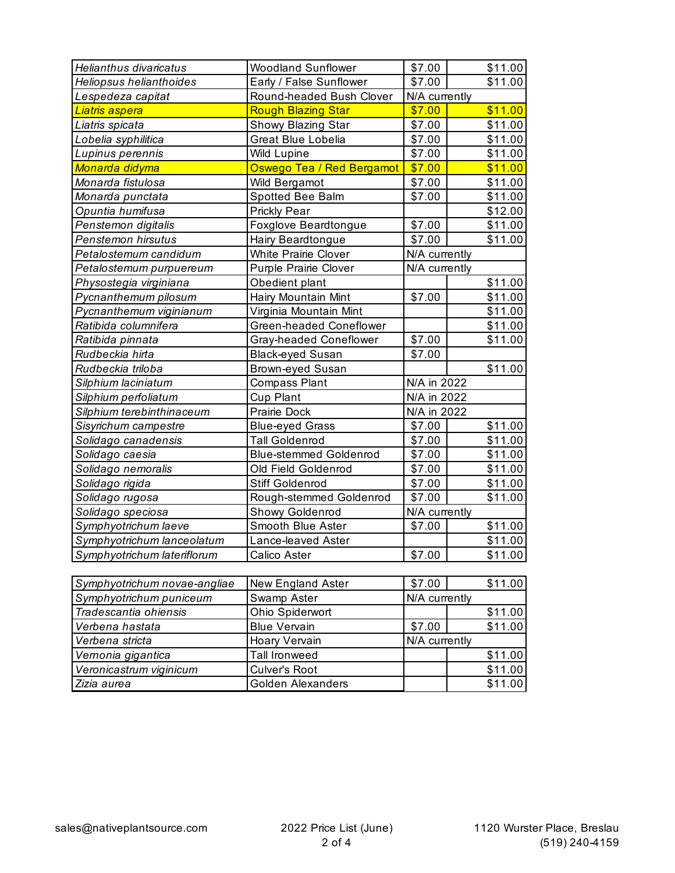| <b>Helianthus divaricatus</b> | <b>Woodland Sunflower</b>     | \$7.00        | \$11.00                                             |
|-------------------------------|-------------------------------|---------------|-----------------------------------------------------|
| Heliopsus helianthoides       | Early / False Sunflower       | \$7.00        | \$11.00                                             |
| Lespedeza capitat             | Round-headed Bush Clover      | N/A currently |                                                     |
| <mark>Liatris aspera</mark>   | <b>Rough Blazing Star</b>     | \$7.00        | \$11.00                                             |
| Liatris spicata               | Showy Blazing Star            | \$7.00        | \$11.00                                             |
| Lobelia syphilitica           | <b>Great Blue Lobelia</b>     | \$7.00        | \$11.00                                             |
| Lupinus perennis              | <b>Wild Lupine</b>            | \$7.00        | \$11.00                                             |
| Monarda didyma                | Oswego Tea / Red Bergamot     | \$7.00        | \$11.00                                             |
| Monarda fistulosa             | Wild Bergamot                 | \$7.00        | \$11.00                                             |
| Monarda punctata              | Spotted Bee Balm              | \$7.00        | \$11.00                                             |
| Opuntia humifusa              | Prickly Pear                  |               | \$12.00                                             |
| Penstemon digitalis           | Foxglove Beardtongue          | \$7.00        | \$11.00                                             |
| Penstemon hirsutus            | Hairy Beardtongue             | \$7.00        | \$11.00                                             |
| Petalostemum candidum         | <b>White Prairie Clover</b>   | N/A currently |                                                     |
| Petalostemum purpuereum       | <b>Purple Prairie Clover</b>  | N/A currently |                                                     |
| Physostegia virginiana        | Obedient plant                |               | \$11.00                                             |
| Pycnanthemum pilosum          | Hairy Mountain Mint           | \$7.00        | \$11.00                                             |
| Pycnanthemum viginianum       | Virginia Mountain Mint        |               | \$11.00                                             |
| Ratibida columnifera          | Green-headed Coneflower       |               | \$11.00                                             |
| Ratibida pinnata              | Gray-headed Coneflower        | \$7.00        | \$11.00                                             |
|                               |                               |               |                                                     |
| Rudbeckia hirta               | <b>Black-eyed Susan</b>       | \$7.00        |                                                     |
| Rudbeckia triloba             | <b>Brown-eyed Susan</b>       |               | \$11.00                                             |
| Silphium laciniatum           | <b>Compass Plant</b>          | N/A in 2022   |                                                     |
| Silphium perfoliatum          | Cup Plant                     | N/A in 2022   |                                                     |
| Silphium terebinthinaceum     | Prairie Dock                  | N/A in 2022   |                                                     |
| Sisyrichum campestre          | <b>Blue-eyed Grass</b>        | \$7.00        |                                                     |
| Solidago canadensis           | <b>Tall Goldenrod</b>         | \$7.00        |                                                     |
| Solidago caesia               | <b>Blue-stemmed Goldenrod</b> | \$7.00        |                                                     |
| Solidago nemoralis            | Old Field Goldenrod           | \$7.00        | \$11.00<br>\$11.00<br>\$11.00<br>\$11.00            |
| Solidago rigida               | Stiff Goldenrod               | \$7.00        |                                                     |
| Solidago rugosa               | Rough-stemmed Goldenrod       | \$7.00        |                                                     |
| Solidago speciosa             | Showy Goldenrod               | N/A currently |                                                     |
| Symphyotrichum laeve          | Smooth Blue Aster             | \$7.00        |                                                     |
| Symphyotrichum lanceolatum    | Lance-leaved Aster            |               |                                                     |
| Symphyotrichum lateriflorum   | Calico Aster                  | \$7.00        |                                                     |
|                               |                               |               | \$11.00<br>\$11.00<br>\$11.00<br>\$11.00<br>\$11.00 |
| Symphyotrichum novae-angliae  | New England Aster             | \$7.00        | \$11.00                                             |
| Symphyotrichum puniceum       | Swamp Aster                   | N/A currently |                                                     |
| Tradescantia ohiensis         | Ohio Spiderwort               |               | \$11.00                                             |
| Verbena hastata               | <b>Blue Vervain</b>           | \$7.00        | \$11.00                                             |
| Verbena stricta               | Hoary Vervain                 | N/A currently |                                                     |
| Vernonia gigantica            | <b>Tall Ironweed</b>          |               | \$11.00                                             |
| Veronicastrum viginicum       | Culver's Root                 |               | \$11.00                                             |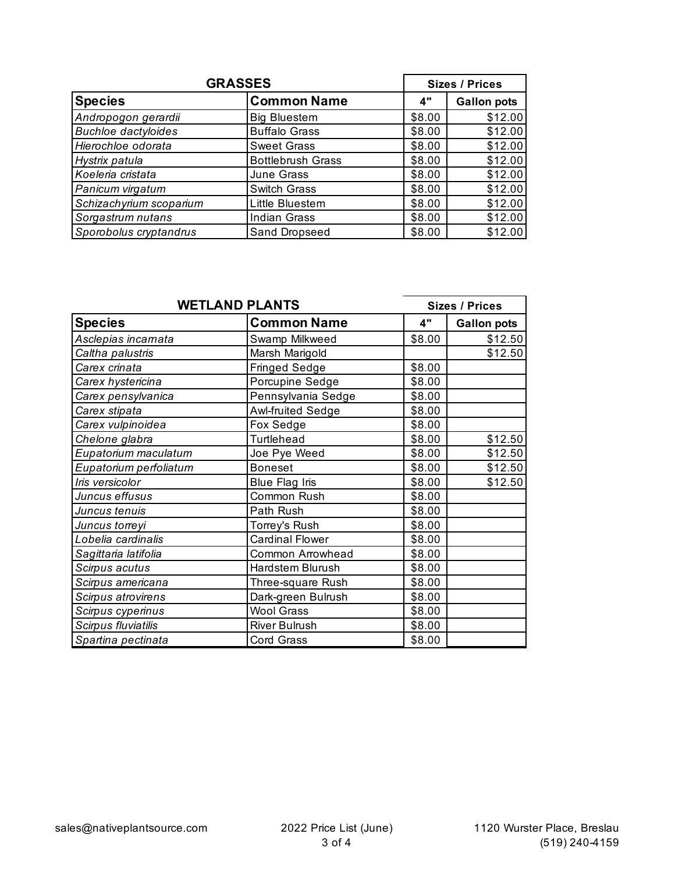| <b>GRASSES</b>             |                          |        | <b>Sizes / Prices</b> |  |
|----------------------------|--------------------------|--------|-----------------------|--|
| <b>Species</b>             | <b>Common Name</b>       | 4"     | <b>Gallon pots</b>    |  |
| Andropogon gerardii        | <b>Big Bluestem</b>      | \$8.00 | \$12.00               |  |
| <b>Buchloe dactyloides</b> | <b>Buffalo Grass</b>     | \$8.00 | \$12.00               |  |
| Hierochloe odorata         | <b>Sweet Grass</b>       | \$8.00 | \$12.00               |  |
| Hystrix patula             | <b>Bottlebrush Grass</b> | \$8.00 | \$12.00               |  |
| Koeleria cristata          | June Grass               | \$8.00 | \$12.00               |  |
| Panicum virgatum           | Switch Grass             | \$8.00 | \$12.00               |  |
| Schizachyrium scoparium    | Little Bluestem          | \$8.00 | \$12.00               |  |
| Sorgastrum nutans          | <b>Indian Grass</b>      | \$8.00 | \$12.00               |  |
| Sporobolus cryptandrus     | Sand Dropseed            | \$8.00 | \$12.00               |  |

| <b>WETLAND PLANTS</b>  |                         |        | <b>Sizes / Prices</b> |  |
|------------------------|-------------------------|--------|-----------------------|--|
| <b>Species</b>         | <b>Common Name</b>      | 4"     | <b>Gallon pots</b>    |  |
| Asclepias incarnata    | Swamp Milkweed          | \$8.00 | \$12.50               |  |
| Caltha palustris       | Marsh Marigold          |        | \$12.50               |  |
| Carex crinata          | <b>Fringed Sedge</b>    | \$8.00 |                       |  |
| Carex hystericina      | Porcupine Sedge         | \$8.00 |                       |  |
| Carex pensylvanica     | Pennsylvania Sedge      | \$8.00 |                       |  |
| Carex stipata          | Awl-fruited Sedge       | \$8.00 |                       |  |
| Carex vulpinoidea      | Fox Sedge               | \$8.00 |                       |  |
| Chelone glabra         | Turtlehead              | \$8.00 | \$12.50               |  |
| Eupatorium maculatum   | Joe Pye Weed            | \$8.00 | \$12.50               |  |
| Eupatorium perfoliatum | <b>Boneset</b>          | \$8.00 | \$12.50               |  |
| Iris versicolor        | <b>Blue Flag Iris</b>   | \$8.00 | \$12.50               |  |
| Juncus effusus         | Common Rush             | \$8.00 |                       |  |
| Juncus tenuis          | Path Rush               | \$8.00 |                       |  |
| Juncus torreyi         | Torrey's Rush           | \$8.00 |                       |  |
| Lobelia cardinalis     | <b>Cardinal Flower</b>  | \$8.00 |                       |  |
| Sagittaria latifolia   | <b>Common Arrowhead</b> | \$8.00 |                       |  |
| Scirpus acutus         | Hardstem Blurush        | \$8.00 |                       |  |
| Scirpus americana      | Three-square Rush       | \$8.00 |                       |  |
| Scirpus atrovirens     | Dark-green Bulrush      | \$8.00 |                       |  |
| Scirpus cyperinus      | <b>Wool Grass</b>       | \$8.00 |                       |  |
| Scirpus fluviatilis    | River Bulrush           | \$8.00 |                       |  |
| Spartina pectinata     | <b>Cord Grass</b>       | \$8.00 |                       |  |